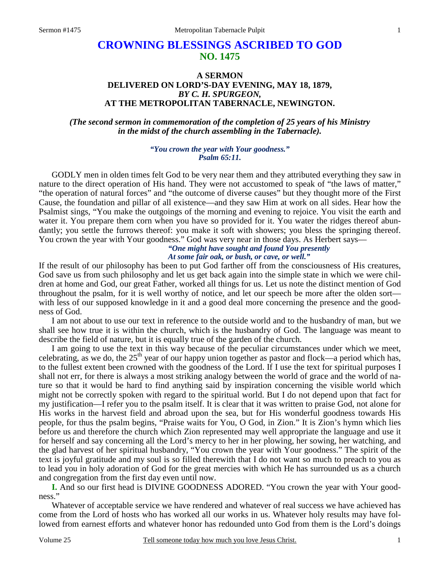## **CROWNING BLESSINGS ASCRIBED TO GOD NO. 1475**

## **A SERMON DELIVERED ON LORD'S-DAY EVENING, MAY 18, 1879,**  *BY C. H. SPURGEON,*  **AT THE METROPOLITAN TABERNACLE, NEWINGTON.**

*(The second sermon in commemoration of the completion of 25 years of his Ministry in the midst of the church assembling in the Tabernacle).* 

> *"You crown the year with Your goodness." Psalm 65:11.*

GODLY men in olden times felt God to be very near them and they attributed everything they saw in nature to the direct operation of His hand. They were not accustomed to speak of "the laws of matter," "the operation of natural forces" and "the outcome of diverse causes" but they thought more of the First Cause, the foundation and pillar of all existence—and they saw Him at work on all sides. Hear how the Psalmist sings, "You make the outgoings of the morning and evening to rejoice. You visit the earth and water it. You prepare them corn when you have so provided for it. You water the ridges thereof abundantly; you settle the furrows thereof: you make it soft with showers; you bless the springing thereof. You crown the year with Your goodness." God was very near in those days. As Herbert says—

> *"One might have sought and found You presently At some fair oak, or bush, or cave, or well."*

If the result of our philosophy has been to put God farther off from the consciousness of His creatures, God save us from such philosophy and let us get back again into the simple state in which we were children at home and God, our great Father, worked all things for us. Let us note the distinct mention of God throughout the psalm, for it is well worthy of notice, and let our speech be more after the olden sort with less of our supposed knowledge in it and a good deal more concerning the presence and the goodness of God.

 I am not about to use our text in reference to the outside world and to the husbandry of man, but we shall see how true it is within the church, which is the husbandry of God. The language was meant to describe the field of nature, but it is equally true of the garden of the church.

 I am going to use the text in this way because of the peculiar circumstances under which we meet, celebrating, as we do, the  $25<sup>th</sup>$  year of our happy union together as pastor and flock—a period which has, to the fullest extent been crowned with the goodness of the Lord. If I use the text for spiritual purposes I shall not err, for there is always a most striking analogy between the world of grace and the world of nature so that it would be hard to find anything said by inspiration concerning the visible world which might not be correctly spoken with regard to the spiritual world. But I do not depend upon that fact for my justification—I refer you to the psalm itself. It is clear that it was written to praise God, not alone for His works in the harvest field and abroad upon the sea, but for His wonderful goodness towards His people, for thus the psalm begins, "Praise waits for You, O God, in Zion." It is Zion's hymn which lies before us and therefore the church which Zion represented may well appropriate the language and use it for herself and say concerning all the Lord's mercy to her in her plowing, her sowing, her watching, and the glad harvest of her spiritual husbandry, "You crown the year with Your goodness." The spirit of the text is joyful gratitude and my soul is so filled therewith that I do not want so much to preach to you as to lead you in holy adoration of God for the great mercies with which He has surrounded us as a church and congregation from the first day even until now.

**I.** And so our first head is DIVINE GOODNESS ADORED. "You crown the year with Your goodness."

 Whatever of acceptable service we have rendered and whatever of real success we have achieved has come from the Lord of hosts who has worked all our works in us. Whatever holy results may have followed from earnest efforts and whatever honor has redounded unto God from them is the Lord's doings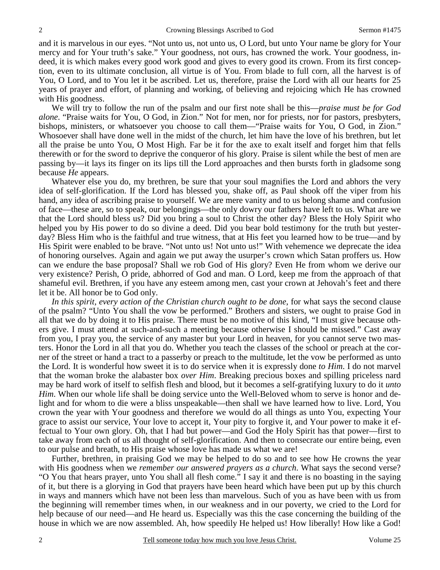and it is marvelous in our eyes. "Not unto us, not unto us, O Lord, but unto Your name be glory for Your mercy and for Your truth's sake." Your goodness, not ours, has crowned the work. Your goodness, indeed, it is which makes every good work good and gives to every good its crown. From its first conception, even to its ultimate conclusion, all virtue is of You. From blade to full corn, all the harvest is of You, O Lord, and to You let it be ascribed. Let us, therefore, praise the Lord with all our hearts for 25 years of prayer and effort, of planning and working, of believing and rejoicing which He has crowned with His goodness.

 We will try to follow the run of the psalm and our first note shall be this—*praise must be for God alone*. "Praise waits for You, O God, in Zion." Not for men, nor for priests, nor for pastors, presbyters, bishops, ministers, or whatsoever you choose to call them—"Praise waits for You, O God, in Zion." Whosoever shall have done well in the midst of the church, let him have the love of his brethren, but let all the praise be unto You, O Most High. Far be it for the axe to exalt itself and forget him that fells therewith or for the sword to deprive the conqueror of his glory. Praise is silent while the best of men are passing by—it lays its finger on its lips till the Lord approaches and then bursts forth in gladsome song because *He* appears.

 Whatever else you do, my brethren, be sure that your soul magnifies the Lord and abhors the very idea of self-glorification. If the Lord has blessed you, shake off, as Paul shook off the viper from his hand, any idea of ascribing praise to yourself. We are mere vanity and to us belong shame and confusion of face—these are, so to speak, our belongings—the only dowry our fathers have left to us. What are we that the Lord should bless us? Did you bring a soul to Christ the other day? Bless the Holy Spirit who helped you by His power to do so divine a deed. Did you bear bold testimony for the truth but yesterday? Bless Him who is the faithful and true witness, that at His feet you learned how to be true—and by His Spirit were enabled to be brave. "Not unto us! Not unto us!" With vehemence we deprecate the idea of honoring ourselves. Again and again we put away the usurper's crown which Satan proffers us. How can we endure the base proposal? Shall we rob God of His glory? Even He from whom we derive our very existence? Perish, O pride, abhorred of God and man. O Lord, keep me from the approach of that shameful evil. Brethren, if you have any esteem among men, cast your crown at Jehovah's feet and there let it be. All honor be to God only.

*In this spirit, every action of the Christian church ought to be done*, for what says the second clause of the psalm? "Unto You shall the vow be performed." Brothers and sisters, we ought to praise God in all that we do by doing it to His praise. There must be no motive of this kind, "I must give because others give. I must attend at such-and-such a meeting because otherwise I should be missed." Cast away from you, I pray you, the service of any master but your Lord in heaven, for you cannot serve two masters. Honor the Lord in all that you do. Whether you teach the classes of the school or preach at the corner of the street or hand a tract to a passerby or preach to the multitude, let the vow be performed as unto the Lord. It is wonderful how sweet it is to do service when it is expressly done *to Him*. I do not marvel that the woman broke the alabaster box *over Him*. Breaking precious boxes and spilling priceless nard may be hard work of itself to selfish flesh and blood, but it becomes a self-gratifying luxury to do it *unto Him*. When our whole life shall be doing service unto the Well-Beloved whom to serve is honor and delight and for whom to die were a bliss unspeakable—then shall we have learned how to live. Lord, You crown the year with Your goodness and therefore we would do all things as unto You, expecting Your grace to assist our service, Your love to accept it, Your pity to forgive it, and Your power to make it effectual to Your own glory. Oh, that I had but power—and God the Holy Spirit has that power—first to take away from each of us all thought of self-glorification. And then to consecrate our entire being, even to our pulse and breath, to His praise whose love has made us what we are!

 Further, brethren, in praising God we may be helped to do so and to see how He crowns the year with His goodness when we *remember our answered prayers as a church*. What says the second verse? "O You that hears prayer, unto You shall all flesh come." I say it and there is no boasting in the saying of it, but there is a glorying in God that prayers have been heard which have been put up by this church in ways and manners which have not been less than marvelous. Such of you as have been with us from the beginning will remember times when, in our weakness and in our poverty, we cried to the Lord for help because of our need—and He heard us. Especially was this the case concerning the building of the house in which we are now assembled. Ah, how speedily He helped us! How liberally! How like a God!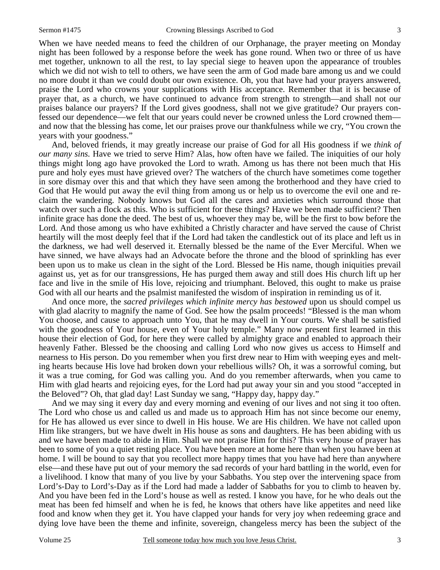When we have needed means to feed the children of our Orphanage, the prayer meeting on Monday night has been followed by a response before the week has gone round. When two or three of us have met together, unknown to all the rest, to lay special siege to heaven upon the appearance of troubles which we did not wish to tell to others, we have seen the arm of God made bare among us and we could no more doubt it than we could doubt our own existence. Oh, you that have had your prayers answered, praise the Lord who crowns your supplications with His acceptance. Remember that it is because of prayer that, as a church, we have continued to advance from strength to strength—and shall not our praises balance our prayers? If the Lord gives goodness, shall not we give gratitude? Our prayers confessed our dependence—we felt that our years could never be crowned unless the Lord crowned them and now that the blessing has come, let our praises prove our thankfulness while we cry, "You crown the years with your goodness."

 And, beloved friends, it may greatly increase our praise of God for all His goodness if we *think of our many sins.* Have we tried to serve Him? Alas, how often have we failed. The iniquities of our holy things might long ago have provoked the Lord to wrath. Among us has there not been much that His pure and holy eyes must have grieved over? The watchers of the church have sometimes come together in sore dismay over this and that which they have seen among the brotherhood and they have cried to God that He would put away the evil thing from among us or help us to overcome the evil one and reclaim the wandering. Nobody knows but God all the cares and anxieties which surround those that watch over such a flock as this. Who is sufficient for these things? Have we been made sufficient? Then infinite grace has done the deed. The best of us, whoever they may be, will be the first to bow before the Lord. And those among us who have exhibited a Christly character and have served the cause of Christ heartily will the most deeply feel that if the Lord had taken the candlestick out of its place and left us in the darkness, we had well deserved it. Eternally blessed be the name of the Ever Merciful. When we have sinned, we have always had an Advocate before the throne and the blood of sprinkling has ever been upon us to make us clean in the sight of the Lord. Blessed be His name, though iniquities prevail against us, yet as for our transgressions, He has purged them away and still does His church lift up her face and live in the smile of His love, rejoicing and triumphant. Beloved, this ought to make us praise God with all our hearts and the psalmist manifested the wisdom of inspiration in reminding us of it.

 And once more, the *sacred privileges which infinite mercy has bestowed* upon us should compel us with glad alacrity to magnify the name of God. See how the psalm proceeds! "Blessed is the man whom You choose, and cause to approach unto You, that he may dwell in Your courts. We shall be satisfied with the goodness of Your house, even of Your holy temple." Many now present first learned in this house their election of God, for here they were called by almighty grace and enabled to approach their heavenly Father. Blessed be the choosing and calling Lord who now gives us access to Himself and nearness to His person. Do you remember when you first drew near to Him with weeping eyes and melting hearts because His love had broken down your rebellious wills? Oh, it was a sorrowful coming, but it was a true coming, for God was calling you. And do you remember afterwards, when you came to Him with glad hearts and rejoicing eyes, for the Lord had put away your sin and you stood "accepted in the Beloved"? Oh, that glad day! Last Sunday we sang, "Happy day, happy day."

 And we may sing it every day and every morning and evening of our lives and not sing it too often. The Lord who chose us and called us and made us to approach Him has not since become our enemy, for He has allowed us ever since to dwell in His house. We are His children. We have not called upon Him like strangers, but we have dwelt in His house as sons and daughters. He has been abiding with us and we have been made to abide in Him. Shall we not praise Him for this? This very house of prayer has been to some of you a quiet resting place. You have been more at home here than when you have been at home. I will be bound to say that you recollect more happy times that you have had here than anywhere else—and these have put out of your memory the sad records of your hard battling in the world, even for a livelihood. I know that many of you live by your Sabbaths. You step over the intervening space from Lord's-Day to Lord's-Day as if the Lord had made a ladder of Sabbaths for you to climb to heaven by. And you have been fed in the Lord's house as well as rested. I know you have, for he who deals out the meat has been fed himself and when he is fed, he knows that others have like appetites and need like food and know when they get it. You have clapped your hands for very joy when redeeming grace and dying love have been the theme and infinite, sovereign, changeless mercy has been the subject of the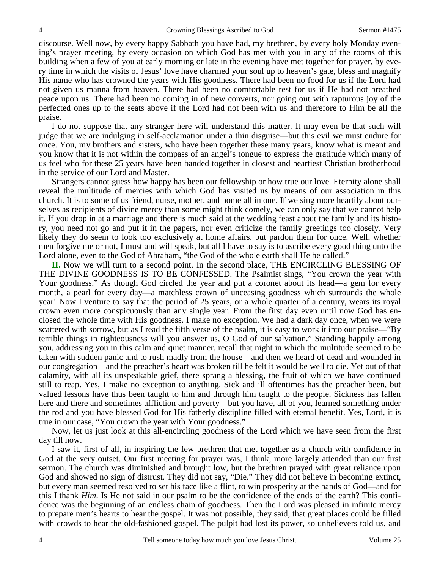discourse. Well now, by every happy Sabbath you have had, my brethren, by every holy Monday evening's prayer meeting, by every occasion on which God has met with you in any of the rooms of this building when a few of you at early morning or late in the evening have met together for prayer, by every time in which the visits of Jesus' love have charmed your soul up to heaven's gate, bless and magnify His name who has crowned the years with His goodness. There had been no food for us if the Lord had not given us manna from heaven. There had been no comfortable rest for us if He had not breathed peace upon us. There had been no coming in of new converts, nor going out with rapturous joy of the perfected ones up to the seats above if the Lord had not been with us and therefore to Him be all the praise.

 I do not suppose that any stranger here will understand this matter. It may even be that such will judge that we are indulging in self-acclamation under a thin disguise—but this evil we must endure for once. You, my brothers and sisters, who have been together these many years, know what is meant and you know that it is not within the compass of an angel's tongue to express the gratitude which many of us feel who for these 25 years have been banded together in closest and heartiest Christian brotherhood in the service of our Lord and Master.

 Strangers cannot guess how happy has been our fellowship or how true our love. Eternity alone shall reveal the multitude of mercies with which God has visited us by means of our association in this church. It is to some of us friend, nurse, mother, and home all in one. If we sing more heartily about ourselves as recipients of divine mercy than some might think comely, we can only say that we cannot help it. If you drop in at a marriage and there is much said at the wedding feast about the family and its history, you need not go and put it in the papers, nor even criticize the family greetings too closely. Very likely they do seem to look too exclusively at home affairs, but pardon them for once. Well, whether men forgive me or not, I must and will speak, but all I have to say is to ascribe every good thing unto the Lord alone, even to the God of Abraham, "the God of the whole earth shall He be called."

**II.** Now we will turn to a second point. In the second place, THE ENCIRCLING BLESSING OF THE DIVINE GOODNESS IS TO BE CONFESSED. The Psalmist sings, "You crown the year with Your goodness." As though God circled the year and put a coronet about its head—a gem for every month, a pearl for every day—a matchless crown of unceasing goodness which surrounds the whole year! Now I venture to say that the period of 25 years, or a whole quarter of a century, wears its royal crown even more conspicuously than any single year. From the first day even until now God has enclosed the whole time with His goodness. I make no exception. We had a dark day once, when we were scattered with sorrow, but as I read the fifth verse of the psalm, it is easy to work it into our praise—"By terrible things in righteousness will you answer us, O God of our salvation." Standing happily among you, addressing you in this calm and quiet manner, recall that night in which the multitude seemed to be taken with sudden panic and to rush madly from the house—and then we heard of dead and wounded in our congregation—and the preacher's heart was broken till he felt it would be well to die. Yet out of that calamity, with all its unspeakable grief, there sprang a blessing, the fruit of which we have continued still to reap. Yes, I make no exception to anything. Sick and ill oftentimes has the preacher been, but valued lessons have thus been taught to him and through him taught to the people. Sickness has fallen here and there and sometimes affliction and poverty—but you have, all of you, learned something under the rod and you have blessed God for His fatherly discipline filled with eternal benefit. Yes, Lord, it is true in our case, "You crown the year with Your goodness."

 Now, let us just look at this all-encircling goodness of the Lord which we have seen from the first day till now.

 I saw it, first of all, in inspiring the few brethren that met together as a church with confidence in God at the very outset. Our first meeting for prayer was, I think, more largely attended than our first sermon. The church was diminished and brought low, but the brethren prayed with great reliance upon God and showed no sign of distrust. They did not say, "Die." They did not believe in becoming extinct, but every man seemed resolved to set his face like a flint, to win prosperity at the hands of God—and for this I thank *Him*. Is He not said in our psalm to be the confidence of the ends of the earth? This confidence was the beginning of an endless chain of goodness. Then the Lord was pleased in infinite mercy to prepare men's hearts to hear the gospel. It was not possible, they said, that great places could be filled with crowds to hear the old-fashioned gospel. The pulpit had lost its power, so unbelievers told us, and

4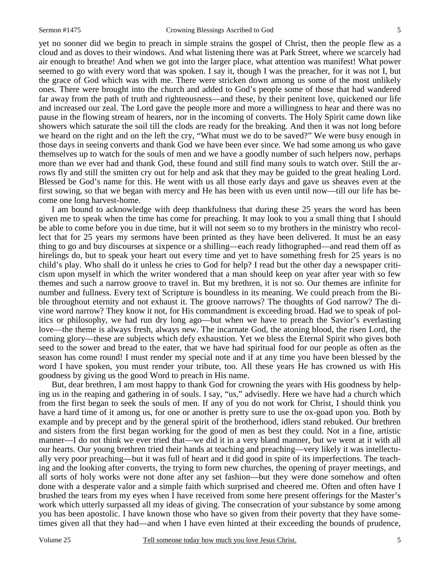yet no sooner did we begin to preach in simple strains the gospel of Christ, then the people flew as a cloud and as doves to their windows. And what listening there was at Park Street, where we scarcely had air enough to breathe! And when we got into the larger place, what attention was manifest! What power seemed to go with every word that was spoken. I say it, though I was the preacher, for it was not I, but the grace of God which was with me. There were stricken down among us some of the most unlikely ones. There were brought into the church and added to God's people some of those that had wandered far away from the path of truth and righteousness—and these, by their penitent love, quickened our life and increased our zeal. The Lord gave the people more and more a willingness to hear and there was no pause in the flowing stream of hearers, nor in the incoming of converts. The Holy Spirit came down like showers which saturate the soil till the clods are ready for the breaking. And then it was not long before we heard on the right and on the left the cry, "What must we do to be saved?" We were busy enough in those days in seeing converts and thank God we have been ever since. We had some among us who gave themselves up to watch for the souls of men and we have a goodly number of such helpers now, perhaps more than we ever had and thank God, these found and still find many souls to watch over. Still the arrows fly and still the smitten cry out for help and ask that they may be guided to the great healing Lord. Blessed be God's name for this. He went with us all those early days and gave us sheaves even at the first sowing, so that we began with mercy and He has been with us even until now—till our life has become one long harvest-home.

 I am bound to acknowledge with deep thankfulness that during these 25 years the word has been given me to speak when the time has come for preaching. It may look to you a small thing that I should be able to come before you in due time, but it will not seem so to my brothers in the ministry who recollect that for 25 years my sermons have been printed as they have been delivered. It must be an easy thing to go and buy discourses at sixpence or a shilling—each ready lithographed—and read them off as hirelings do, but to speak your heart out every time and yet to have something fresh for 25 years is no child's play. Who shall do it unless he cries to God for help? I read but the other day a newspaper criticism upon myself in which the writer wondered that a man should keep on year after year with so few themes and such a narrow groove to travel in. But my brethren, it is not so. Our themes are infinite for number and fullness. Every text of Scripture is boundless in its meaning. We could preach from the Bible throughout eternity and not exhaust it. The groove narrows? The thoughts of God narrow? The divine word narrow? They know it not, for His commandment is exceeding broad. Had we to speak of politics or philosophy, we had run dry long ago—but when we have to preach the Savior's everlasting love—the theme is always fresh, always new. The incarnate God, the atoning blood, the risen Lord, the coming glory—these are subjects which defy exhaustion. Yet we bless the Eternal Spirit who gives both seed to the sower and bread to the eater, that we have had spiritual food for our people as often as the season has come round! I must render my special note and if at any time you have been blessed by the word I have spoken, you must render your tribute, too. All these years He has crowned us with His goodness by giving us the good Word to preach in His name.

 But, dear brethren, I am most happy to thank God for crowning the years with His goodness by helping us in the reaping and gathering in of souls. I say, "us," advisedly. Here we have had a church which from the first began to seek the souls of men. If any of you do not work for Christ, I should think you have a hard time of it among us, for one or another is pretty sure to use the ox-goad upon you. Both by example and by precept and by the general spirit of the brotherhood, idlers stand rebuked. Our brethren and sisters from the first began working for the good of men as best they could. Not in a fine, artistic manner—I do not think we ever tried that—we did it in a very bland manner, but we went at it with all our hearts. Our young brethren tried their hands at teaching and preaching—very likely it was intellectually very poor preaching—but it was full of heart and it did good in spite of its imperfections. The teaching and the looking after converts, the trying to form new churches, the opening of prayer meetings, and all sorts of holy works were not done after any set fashion—but they were done somehow and often done with a desperate valor and a simple faith which surprised and cheered me. Often and often have I brushed the tears from my eyes when I have received from some here present offerings for the Master's work which utterly surpassed all my ideas of giving. The consecration of your substance by some among you has been apostolic. I have known those who have so given from their poverty that they have sometimes given all that they had—and when I have even hinted at their exceeding the bounds of prudence,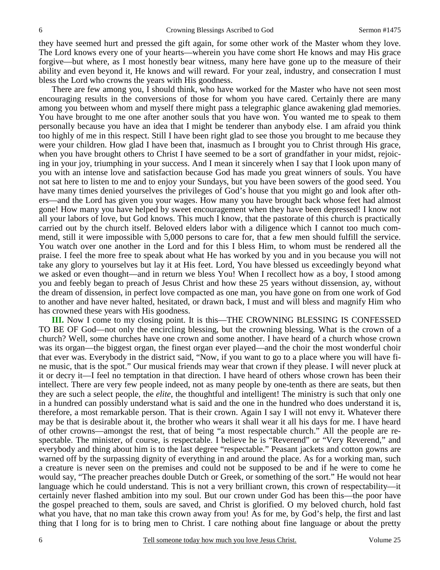they have seemed hurt and pressed the gift again, for some other work of the Master whom they love. The Lord knows every one of your hearts—wherein you have come short He knows and may His grace forgive—but where, as I most honestly bear witness, many here have gone up to the measure of their ability and even beyond it, He knows and will reward. For your zeal, industry, and consecration I must bless the Lord who crowns the years with His goodness.

 There are few among you, I should think, who have worked for the Master who have not seen most encouraging results in the conversions of those for whom you have cared. Certainly there are many among you between whom and myself there might pass a telegraphic glance awakening glad memories. You have brought to me one after another souls that you have won. You wanted me to speak to them personally because you have an idea that I might be tenderer than anybody else. I am afraid you think too highly of me in this respect. Still I have been right glad to see those you brought to me because they were your children. How glad I have been that, inasmuch as I brought you to Christ through His grace, when you have brought others to Christ I have seemed to be a sort of grandfather in your midst, rejoicing in your joy, triumphing in your success. And I mean it sincerely when I say that I look upon many of you with an intense love and satisfaction because God has made you great winners of souls. You have not sat here to listen to me and to enjoy your Sundays, but you have been sowers of the good seed. You have many times denied yourselves the privileges of God's house that you might go and look after others—and the Lord has given you your wages. How many you have brought back whose feet had almost gone! How many you have helped by sweet encouragement when they have been depressed! I know not all your labors of love, but God knows. This much I know, that the pastorate of this church is practically carried out by the church itself. Beloved elders labor with a diligence which I cannot too much commend, still it were impossible with 5,000 persons to care for, that a few men should fulfill the service. You watch over one another in the Lord and for this I bless Him, to whom must be rendered all the praise. I feel the more free to speak about what He has worked by you and in you because you will not take any glory to yourselves but lay it at His feet. Lord, You have blessed us exceedingly beyond what we asked or even thought—and in return we bless You! When I recollect how as a boy, I stood among you and feebly began to preach of Jesus Christ and how these 25 years without dissension, ay, without the dream of dissension, in perfect love compacted as one man, you have gone on from one work of God to another and have never halted, hesitated, or drawn back, I must and will bless and magnify Him who has crowned these years with His goodness.

**III.** Now I come to my closing point. It is this—THE CROWNING BLESSING IS CONFESSED TO BE OF God—not only the encircling blessing, but the crowning blessing. What is the crown of a church? Well, some churches have one crown and some another. I have heard of a church whose crown was its organ—the biggest organ, the finest organ ever played—and the choir the most wonderful choir that ever was. Everybody in the district said, "Now, if you want to go to a place where you will have fine music, that is the spot." Our musical friends may wear that crown if they please. I will never pluck at it or decry it—I feel no temptation in that direction. I have heard of others whose crown has been their intellect. There are very few people indeed, not as many people by one-tenth as there are seats, but then they are such a select people, the *elite*, the thoughtful and intelligent! The ministry is such that only one in a hundred can possibly understand what is said and the one in the hundred who does understand it is, therefore, a most remarkable person. That is their crown. Again I say I will not envy it. Whatever there may be that is desirable about it, the brother who wears it shall wear it all his days for me. I have heard of other crowns—amongst the rest, that of being "a most respectable church." All the people are respectable. The minister, of course, is respectable. I believe he is "Reverend" or "Very Reverend," and everybody and thing about him is to the last degree "respectable." Peasant jackets and cotton gowns are warned off by the surpassing dignity of everything in and around the place. As for a working man, such a creature is never seen on the premises and could not be supposed to be and if he were to come he would say, "The preacher preaches double Dutch or Greek, or something of the sort." He would not hear language which he could understand. This is not a very brilliant crown, this crown of respectability—it certainly never flashed ambition into my soul. But our crown under God has been this—the poor have the gospel preached to them, souls are saved, and Christ is glorified. O my beloved church, hold fast what you have, that no man take this crown away from you! As for me, by God's help, the first and last thing that I long for is to bring men to Christ. I care nothing about fine language or about the pretty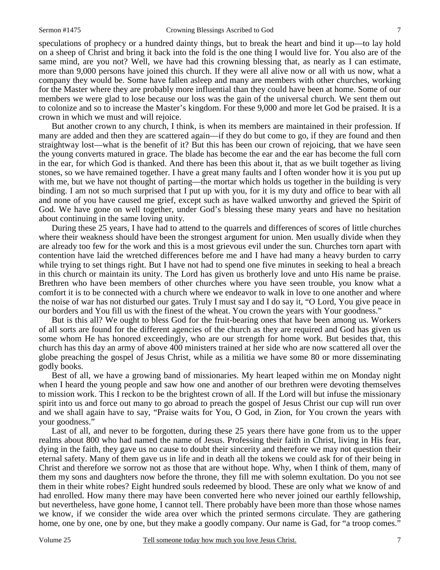speculations of prophecy or a hundred dainty things, but to break the heart and bind it up—to lay hold on a sheep of Christ and bring it back into the fold is the one thing I would live for. You also are of the same mind, are you not? Well, we have had this crowning blessing that, as nearly as I can estimate, more than 9,000 persons have joined this church. If they were all alive now or all with us now, what a company they would be. Some have fallen asleep and many are members with other churches, working for the Master where they are probably more influential than they could have been at home. Some of our members we were glad to lose because our loss was the gain of the universal church. We sent them out to colonize and so to increase the Master's kingdom. For these 9,000 and more let God be praised. It is a crown in which we must and will rejoice.

 But another crown to any church, I think, is when its members are maintained in their profession. If many are added and then they are scattered again—if they do but come to go, if they are found and then straightway lost—what is the benefit of it? But this has been our crown of rejoicing, that we have seen the young converts matured in grace. The blade has become the ear and the ear has become the full corn in the ear, for which God is thanked. And there has been this about it, that as we built together as living stones, so we have remained together. I have a great many faults and I often wonder how it is you put up with me, but we have not thought of parting—the mortar which holds us together in the building is very binding. I am not so much surprised that I put up with you, for it is my duty and office to bear with all and none of you have caused me grief, except such as have walked unworthy and grieved the Spirit of God. We have gone on well together, under God's blessing these many years and have no hesitation about continuing in the same loving unity.

 During these 25 years, I have had to attend to the quarrels and differences of scores of little churches where their weakness should have been the strongest argument for union. Men usually divide when they are already too few for the work and this is a most grievous evil under the sun. Churches torn apart with contention have laid the wretched differences before me and I have had many a heavy burden to carry while trying to set things right. But I have not had to spend one five minutes in seeking to heal a breach in this church or maintain its unity. The Lord has given us brotherly love and unto His name be praise. Brethren who have been members of other churches where you have seen trouble, you know what a comfort it is to be connected with a church where we endeavor to walk in love to one another and where the noise of war has not disturbed our gates. Truly I must say and I do say it, "O Lord, You give peace in our borders and You fill us with the finest of the wheat. You crown the years with Your goodness."

 But is this all? We ought to bless God for the fruit-bearing ones that have been among us. Workers of all sorts are found for the different agencies of the church as they are required and God has given us some whom He has honored exceedingly, who are our strength for home work. But besides that, this church has this day an army of above 400 ministers trained at her side who are now scattered all over the globe preaching the gospel of Jesus Christ, while as a militia we have some 80 or more disseminating godly books.

 Best of all, we have a growing band of missionaries. My heart leaped within me on Monday night when I heard the young people and saw how one and another of our brethren were devoting themselves to mission work. This I reckon to be the brightest crown of all. If the Lord will but infuse the missionary spirit into us and force out many to go abroad to preach the gospel of Jesus Christ our cup will run over and we shall again have to say, "Praise waits for You, O God, in Zion, for You crown the years with your goodness."

 Last of all, and never to be forgotten, during these 25 years there have gone from us to the upper realms about 800 who had named the name of Jesus. Professing their faith in Christ, living in His fear, dying in the faith, they gave us no cause to doubt their sincerity and therefore we may not question their eternal safety. Many of them gave us in life and in death all the tokens we could ask for of their being in Christ and therefore we sorrow not as those that are without hope. Why, when I think of them, many of them my sons and daughters now before the throne, they fill me with solemn exultation. Do you not see them in their white robes? Eight hundred souls redeemed by blood. These are only what we know of and had enrolled. How many there may have been converted here who never joined our earthly fellowship, but nevertheless, have gone home, I cannot tell. There probably have been more than those whose names we know, if we consider the wide area over which the printed sermons circulate. They are gathering home, one by one, one by one, but they make a goodly company. Our name is Gad, for "a troop comes."